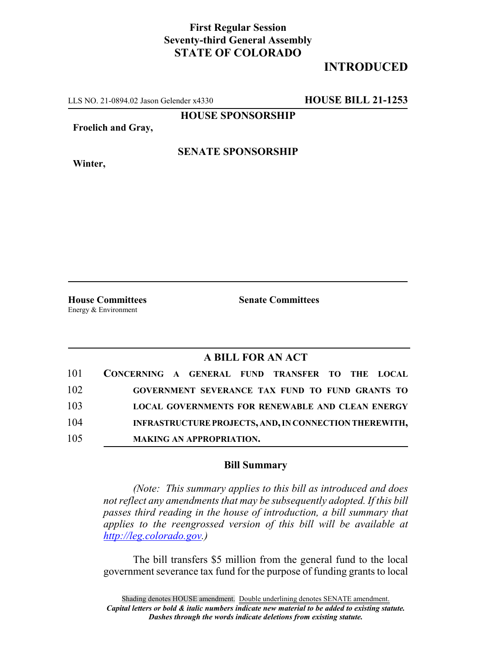## **First Regular Session Seventy-third General Assembly STATE OF COLORADO**

## **INTRODUCED**

LLS NO. 21-0894.02 Jason Gelender x4330 **HOUSE BILL 21-1253**

**HOUSE SPONSORSHIP**

**Froelich and Gray,**

**Winter,**

**SENATE SPONSORSHIP**

Energy & Environment

**House Committees Senate Committees**

## **A BILL FOR AN ACT**

| 101 | CONCERNING A GENERAL FUND TRANSFER TO THE LOCAL         |
|-----|---------------------------------------------------------|
| 102 | GOVERNMENT SEVERANCE TAX FUND TO FUND GRANTS TO         |
| 103 | <b>LOCAL GOVERNMENTS FOR RENEWABLE AND CLEAN ENERGY</b> |
| 104 | INFRASTRUCTURE PROJECTS, AND, IN CONNECTION THEREWITH,  |
| 105 | <b>MAKING AN APPROPRIATION.</b>                         |

## **Bill Summary**

*(Note: This summary applies to this bill as introduced and does not reflect any amendments that may be subsequently adopted. If this bill passes third reading in the house of introduction, a bill summary that applies to the reengrossed version of this bill will be available at http://leg.colorado.gov.)*

The bill transfers \$5 million from the general fund to the local government severance tax fund for the purpose of funding grants to local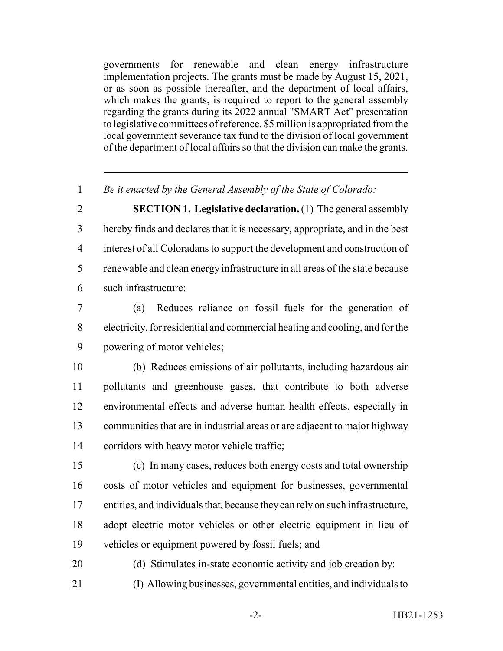governments for renewable and clean energy infrastructure implementation projects. The grants must be made by August 15, 2021, or as soon as possible thereafter, and the department of local affairs, which makes the grants, is required to report to the general assembly regarding the grants during its 2022 annual "SMART Act" presentation to legislative committees of reference. \$5 million is appropriated from the local government severance tax fund to the division of local government of the department of local affairs so that the division can make the grants.

*Be it enacted by the General Assembly of the State of Colorado:*

 **SECTION 1. Legislative declaration.** (1) The general assembly hereby finds and declares that it is necessary, appropriate, and in the best interest of all Coloradans to support the development and construction of renewable and clean energy infrastructure in all areas of the state because such infrastructure:

 (a) Reduces reliance on fossil fuels for the generation of electricity, for residential and commercial heating and cooling, and for the powering of motor vehicles;

 (b) Reduces emissions of air pollutants, including hazardous air pollutants and greenhouse gases, that contribute to both adverse environmental effects and adverse human health effects, especially in communities that are in industrial areas or are adjacent to major highway corridors with heavy motor vehicle traffic;

- (c) In many cases, reduces both energy costs and total ownership costs of motor vehicles and equipment for businesses, governmental entities, and individuals that, because they can rely on such infrastructure, adopt electric motor vehicles or other electric equipment in lieu of vehicles or equipment powered by fossil fuels; and
- (d) Stimulates in-state economic activity and job creation by: (I) Allowing businesses, governmental entities, and individuals to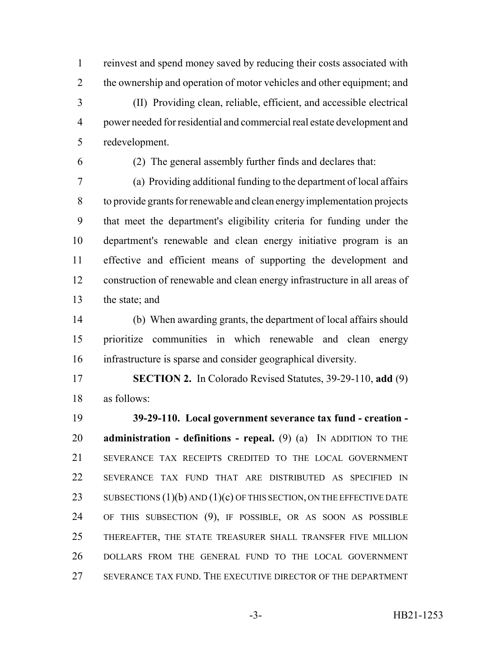reinvest and spend money saved by reducing their costs associated with 2 the ownership and operation of motor vehicles and other equipment; and (II) Providing clean, reliable, efficient, and accessible electrical power needed for residential and commercial real estate development and redevelopment.

(2) The general assembly further finds and declares that:

 (a) Providing additional funding to the department of local affairs to provide grants for renewable and clean energy implementation projects that meet the department's eligibility criteria for funding under the department's renewable and clean energy initiative program is an effective and efficient means of supporting the development and construction of renewable and clean energy infrastructure in all areas of the state; and

 (b) When awarding grants, the department of local affairs should prioritize communities in which renewable and clean energy infrastructure is sparse and consider geographical diversity.

 **SECTION 2.** In Colorado Revised Statutes, 39-29-110, **add** (9) as follows:

 **39-29-110. Local government severance tax fund - creation - administration - definitions - repeal.** (9) (a) IN ADDITION TO THE SEVERANCE TAX RECEIPTS CREDITED TO THE LOCAL GOVERNMENT SEVERANCE TAX FUND THAT ARE DISTRIBUTED AS SPECIFIED IN 23 SUBSECTIONS  $(1)(b)$  AND  $(1)(c)$  OF THIS SECTION, ON THE EFFECTIVE DATE OF THIS SUBSECTION (9), IF POSSIBLE, OR AS SOON AS POSSIBLE THEREAFTER, THE STATE TREASURER SHALL TRANSFER FIVE MILLION DOLLARS FROM THE GENERAL FUND TO THE LOCAL GOVERNMENT SEVERANCE TAX FUND. THE EXECUTIVE DIRECTOR OF THE DEPARTMENT